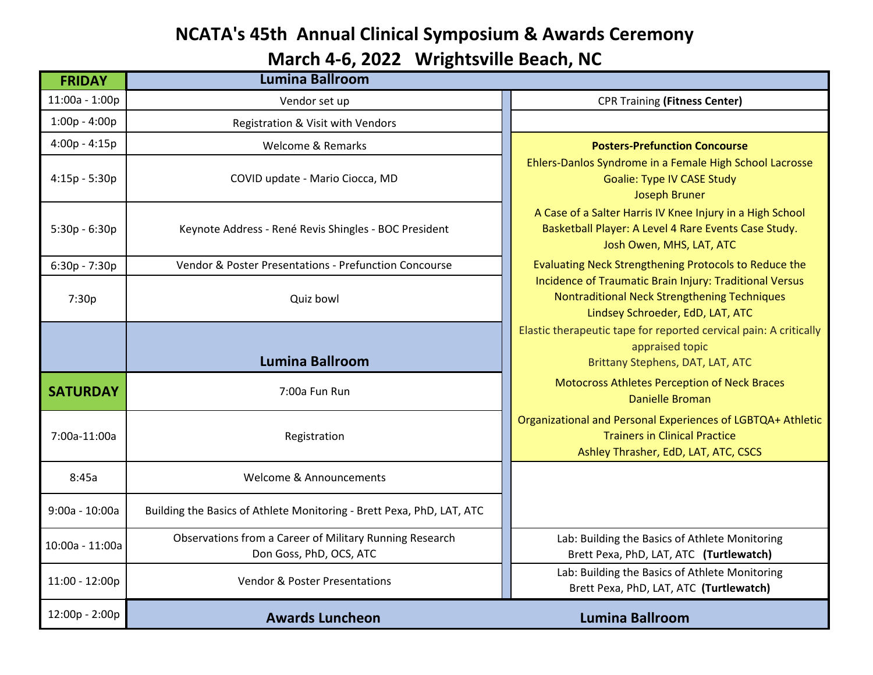## **NCATA's 45th Annual Clinical Symposium & Awards Ceremony**

**March 4-6, 2022 Wrightsville Beach, NC**

| <b>FRIDAY</b>    | <b>Lumina Ballroom</b>                                                             |                                                                                                                                               |
|------------------|------------------------------------------------------------------------------------|-----------------------------------------------------------------------------------------------------------------------------------------------|
| 11:00a - 1:00p   | Vendor set up                                                                      | <b>CPR Training (Fitness Center)</b>                                                                                                          |
| $1:00p - 4:00p$  | Registration & Visit with Vendors                                                  |                                                                                                                                               |
| $4:00p - 4:15p$  | <b>Welcome &amp; Remarks</b>                                                       | <b>Posters-Prefunction Concourse</b>                                                                                                          |
| $4:15p - 5:30p$  | COVID update - Mario Ciocca, MD                                                    | Ehlers-Danlos Syndrome in a Female High School Lacrosse<br><b>Goalie: Type IV CASE Study</b><br><b>Joseph Bruner</b>                          |
| $5:30p - 6:30p$  | Keynote Address - René Revis Shingles - BOC President                              | A Case of a Salter Harris IV Knee Injury in a High School<br>Basketball Player: A Level 4 Rare Events Case Study.<br>Josh Owen, MHS, LAT, ATC |
| $6:30p - 7:30p$  | Vendor & Poster Presentations - Prefunction Concourse                              | Evaluating Neck Strengthening Protocols to Reduce the                                                                                         |
| 7:30p            | Quiz bowl                                                                          | Incidence of Traumatic Brain Injury: Traditional Versus<br>Nontraditional Neck Strengthening Techniques<br>Lindsey Schroeder, EdD, LAT, ATC   |
|                  | <b>Lumina Ballroom</b>                                                             | Elastic therapeutic tape for reported cervical pain: A critically<br>appraised topic<br>Brittany Stephens, DAT, LAT, ATC                      |
| <b>SATURDAY</b>  | 7:00a Fun Run                                                                      | Motocross Athletes Perception of Neck Braces<br><b>Danielle Broman</b>                                                                        |
| 7:00a-11:00a     | Registration                                                                       | Organizational and Personal Experiences of LGBTQA+ Athletic<br><b>Trainers in Clinical Practice</b><br>Ashley Thrasher, EdD, LAT, ATC, CSCS   |
| 8:45a            | Welcome & Announcements                                                            |                                                                                                                                               |
| $9:00a - 10:00a$ | Building the Basics of Athlete Monitoring - Brett Pexa, PhD, LAT, ATC              |                                                                                                                                               |
| 10:00a - 11:00a  | Observations from a Career of Military Running Research<br>Don Goss, PhD, OCS, ATC | Lab: Building the Basics of Athlete Monitoring<br>Brett Pexa, PhD, LAT, ATC (Turtlewatch)                                                     |
| 11:00 - 12:00p   | <b>Vendor &amp; Poster Presentations</b>                                           | Lab: Building the Basics of Athlete Monitoring<br>Brett Pexa, PhD, LAT, ATC (Turtlewatch)                                                     |
| 12:00p - 2:00p   | <b>Awards Luncheon</b>                                                             | <b>Lumina Ballroom</b>                                                                                                                        |